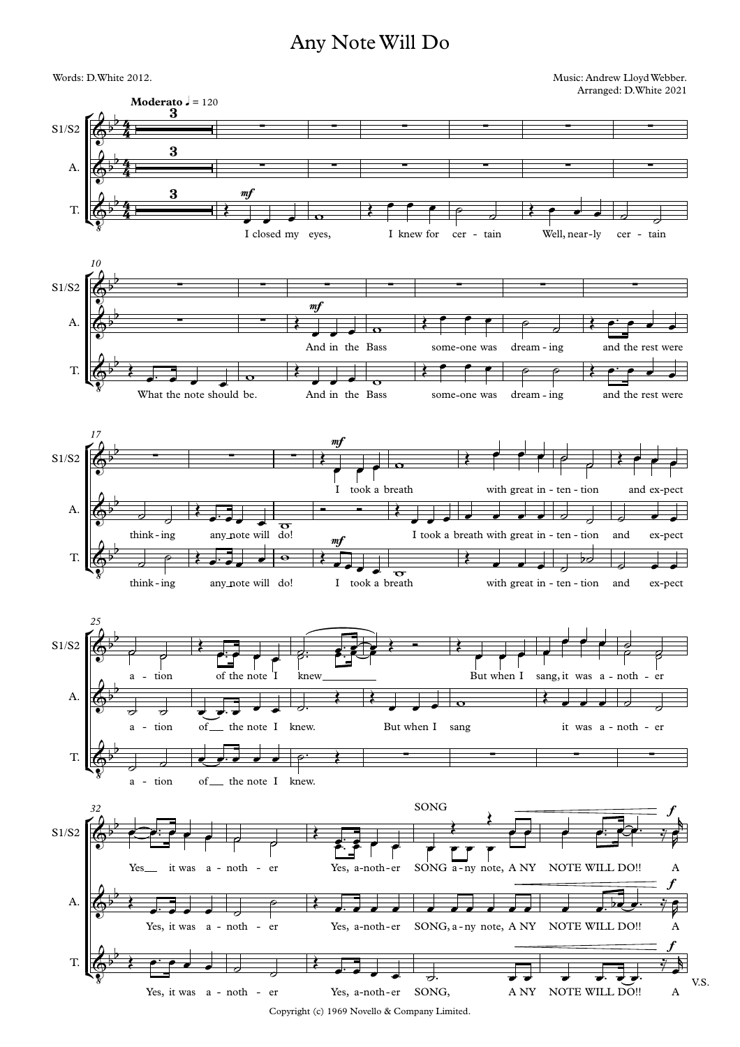## Any NoteWill Do



Copyright (c) 1969 Novello & Company Limited.